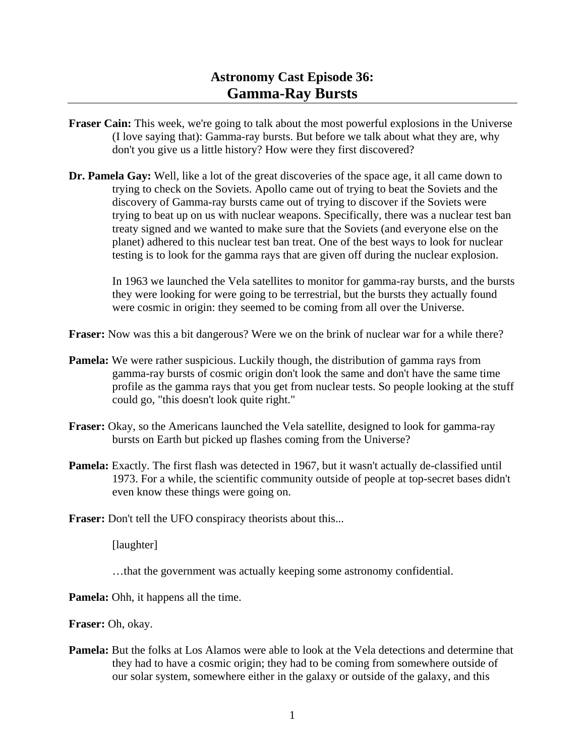## **Astronomy Cast Episode 36: Gamma-Ray Bursts**

- **Fraser Cain:** This week, we're going to talk about the most powerful explosions in the Universe (I love saying that): Gamma-ray bursts. But before we talk about what they are, why don't you give us a little history? How were they first discovered?
- **Dr. Pamela Gay:** Well, like a lot of the great discoveries of the space age, it all came down to trying to check on the Soviets. Apollo came out of trying to beat the Soviets and the discovery of Gamma-ray bursts came out of trying to discover if the Soviets were trying to beat up on us with nuclear weapons. Specifically, there was a nuclear test ban treaty signed and we wanted to make sure that the Soviets (and everyone else on the planet) adhered to this nuclear test ban treat. One of the best ways to look for nuclear testing is to look for the gamma rays that are given off during the nuclear explosion.

 In 1963 we launched the Vela satellites to monitor for gamma-ray bursts, and the bursts they were looking for were going to be terrestrial, but the bursts they actually found were cosmic in origin: they seemed to be coming from all over the Universe.

**Fraser:** Now was this a bit dangerous? Were we on the brink of nuclear war for a while there?

- **Pamela:** We were rather suspicious. Luckily though, the distribution of gamma rays from gamma-ray bursts of cosmic origin don't look the same and don't have the same time profile as the gamma rays that you get from nuclear tests. So people looking at the stuff could go, "this doesn't look quite right."
- **Fraser:** Okay, so the Americans launched the Vela satellite, designed to look for gamma-ray bursts on Earth but picked up flashes coming from the Universe?
- **Pamela:** Exactly. The first flash was detected in 1967, but it wasn't actually de-classified until 1973. For a while, the scientific community outside of people at top-secret bases didn't even know these things were going on.

**Fraser:** Don't tell the UFO conspiracy theorists about this...

[laughter]

…that the government was actually keeping some astronomy confidential.

**Pamela:** Ohh, it happens all the time.

**Fraser:** Oh, okay.

**Pamela:** But the folks at Los Alamos were able to look at the Vela detections and determine that they had to have a cosmic origin; they had to be coming from somewhere outside of our solar system, somewhere either in the galaxy or outside of the galaxy, and this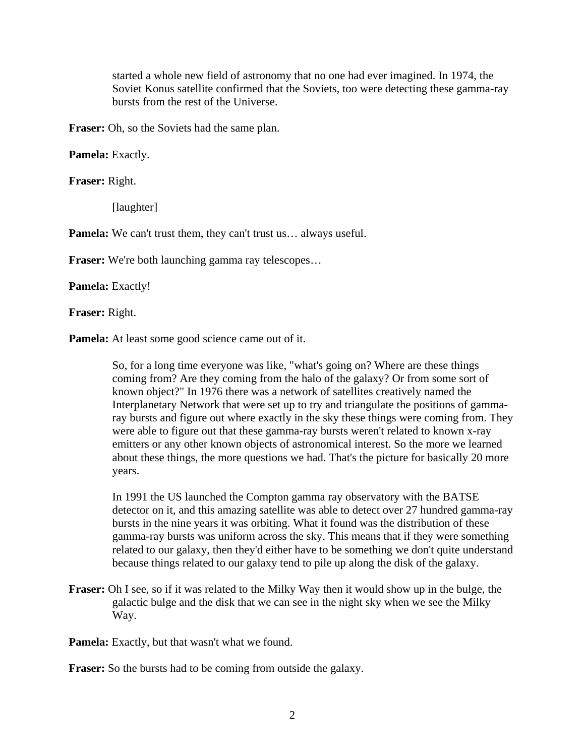started a whole new field of astronomy that no one had ever imagined. In 1974, the Soviet Konus satellite confirmed that the Soviets, too were detecting these gamma-ray bursts from the rest of the Universe.

**Fraser:** Oh, so the Soviets had the same plan.

**Pamela:** Exactly.

**Fraser:** Right.

[laughter]

**Pamela:** We can't trust them, they can't trust us… always useful.

**Fraser:** We're both launching gamma ray telescopes...

**Pamela:** Exactly!

**Fraser:** Right.

**Pamela:** At least some good science came out of it.

 So, for a long time everyone was like, "what's going on? Where are these things coming from? Are they coming from the halo of the galaxy? Or from some sort of known object?" In 1976 there was a network of satellites creatively named the Interplanetary Network that were set up to try and triangulate the positions of gammaray bursts and figure out where exactly in the sky these things were coming from. They were able to figure out that these gamma-ray bursts weren't related to known x-ray emitters or any other known objects of astronomical interest. So the more we learned about these things, the more questions we had. That's the picture for basically 20 more years.

 In 1991 the US launched the Compton gamma ray observatory with the BATSE detector on it, and this amazing satellite was able to detect over 27 hundred gamma-ray bursts in the nine years it was orbiting. What it found was the distribution of these gamma-ray bursts was uniform across the sky. This means that if they were something related to our galaxy, then they'd either have to be something we don't quite understand because things related to our galaxy tend to pile up along the disk of the galaxy.

**Fraser:** Oh I see, so if it was related to the Milky Way then it would show up in the bulge, the galactic bulge and the disk that we can see in the night sky when we see the Milky Way.

**Pamela:** Exactly, but that wasn't what we found.

**Fraser:** So the bursts had to be coming from outside the galaxy.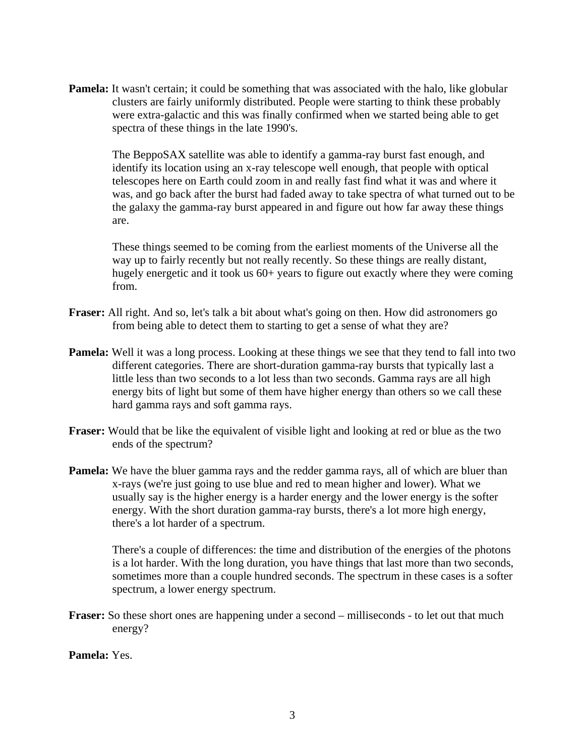**Pamela:** It wasn't certain; it could be something that was associated with the halo, like globular clusters are fairly uniformly distributed. People were starting to think these probably were extra-galactic and this was finally confirmed when we started being able to get spectra of these things in the late 1990's.

 The BeppoSAX satellite was able to identify a gamma-ray burst fast enough, and identify its location using an x-ray telescope well enough, that people with optical telescopes here on Earth could zoom in and really fast find what it was and where it was, and go back after the burst had faded away to take spectra of what turned out to be the galaxy the gamma-ray burst appeared in and figure out how far away these things are.

 These things seemed to be coming from the earliest moments of the Universe all the way up to fairly recently but not really recently. So these things are really distant, hugely energetic and it took us 60+ years to figure out exactly where they were coming from.

- **Fraser:** All right. And so, let's talk a bit about what's going on then. How did astronomers go from being able to detect them to starting to get a sense of what they are?
- **Pamela:** Well it was a long process. Looking at these things we see that they tend to fall into two different categories. There are short-duration gamma-ray bursts that typically last a little less than two seconds to a lot less than two seconds. Gamma rays are all high energy bits of light but some of them have higher energy than others so we call these hard gamma rays and soft gamma rays.
- **Fraser:** Would that be like the equivalent of visible light and looking at red or blue as the two ends of the spectrum?
- **Pamela:** We have the bluer gamma rays and the redder gamma rays, all of which are bluer than x-rays (we're just going to use blue and red to mean higher and lower). What we usually say is the higher energy is a harder energy and the lower energy is the softer energy. With the short duration gamma-ray bursts, there's a lot more high energy, there's a lot harder of a spectrum.

 There's a couple of differences: the time and distribution of the energies of the photons is a lot harder. With the long duration, you have things that last more than two seconds, sometimes more than a couple hundred seconds. The spectrum in these cases is a softer spectrum, a lower energy spectrum.

**Fraser:** So these short ones are happening under a second – milliseconds - to let out that much energy?

**Pamela:** Yes.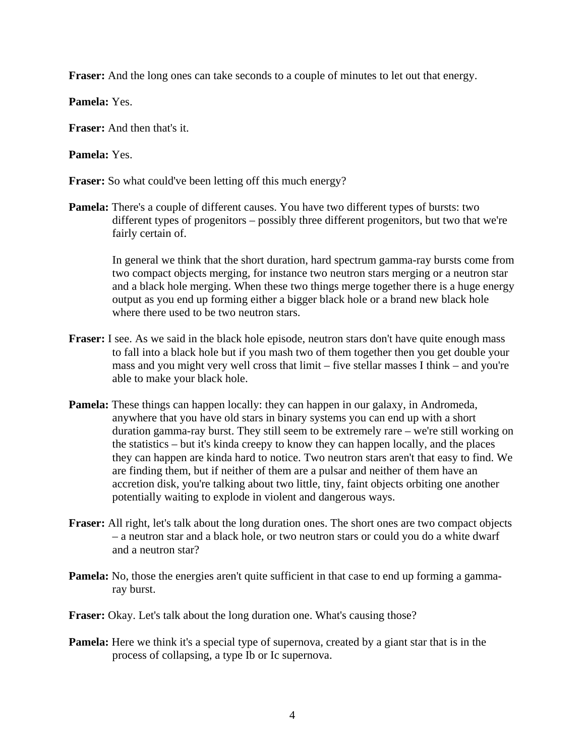**Fraser:** And the long ones can take seconds to a couple of minutes to let out that energy.

**Pamela:** Yes.

**Fraser:** And then that's it.

**Pamela:** Yes.

**Fraser:** So what could've been letting off this much energy?

**Pamela:** There's a couple of different causes. You have two different types of bursts: two different types of progenitors – possibly three different progenitors, but two that we're fairly certain of.

 In general we think that the short duration, hard spectrum gamma-ray bursts come from two compact objects merging, for instance two neutron stars merging or a neutron star and a black hole merging. When these two things merge together there is a huge energy output as you end up forming either a bigger black hole or a brand new black hole where there used to be two neutron stars.

- **Fraser:** I see. As we said in the black hole episode, neutron stars don't have quite enough mass to fall into a black hole but if you mash two of them together then you get double your mass and you might very well cross that limit – five stellar masses I think – and you're able to make your black hole.
- **Pamela:** These things can happen locally: they can happen in our galaxy, in Andromeda, anywhere that you have old stars in binary systems you can end up with a short duration gamma-ray burst. They still seem to be extremely rare – we're still working on the statistics – but it's kinda creepy to know they can happen locally, and the places they can happen are kinda hard to notice. Two neutron stars aren't that easy to find. We are finding them, but if neither of them are a pulsar and neither of them have an accretion disk, you're talking about two little, tiny, faint objects orbiting one another potentially waiting to explode in violent and dangerous ways.
- **Fraser:** All right, let's talk about the long duration ones. The short ones are two compact objects – a neutron star and a black hole, or two neutron stars or could you do a white dwarf and a neutron star?
- **Pamela:** No, those the energies aren't quite sufficient in that case to end up forming a gammaray burst.
- **Fraser:** Okay. Let's talk about the long duration one. What's causing those?
- **Pamela:** Here we think it's a special type of supernova, created by a giant star that is in the process of collapsing, a type Ib or Ic supernova.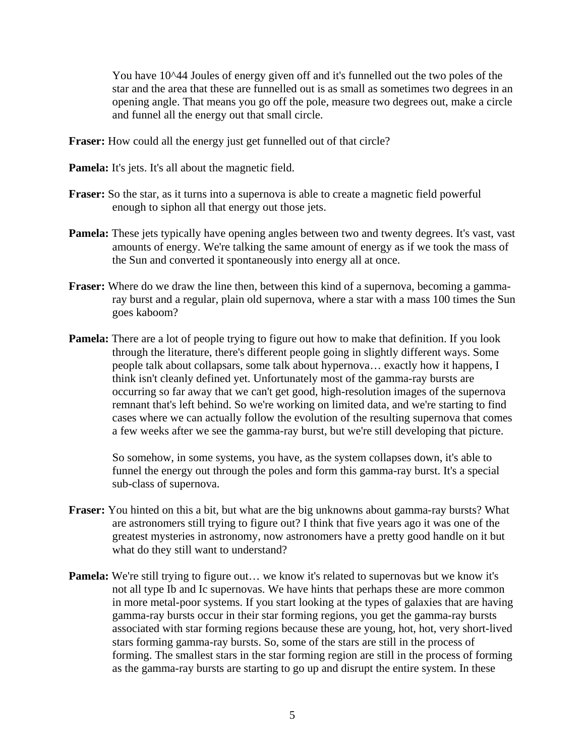You have 10^44 Joules of energy given off and it's funnelled out the two poles of the star and the area that these are funnelled out is as small as sometimes two degrees in an opening angle. That means you go off the pole, measure two degrees out, make a circle and funnel all the energy out that small circle.

**Fraser:** How could all the energy just get funnelled out of that circle?

**Pamela:** It's jets. It's all about the magnetic field.

- **Fraser:** So the star, as it turns into a supernova is able to create a magnetic field powerful enough to siphon all that energy out those jets.
- **Pamela:** These jets typically have opening angles between two and twenty degrees. It's vast, vast amounts of energy. We're talking the same amount of energy as if we took the mass of the Sun and converted it spontaneously into energy all at once.
- **Fraser:** Where do we draw the line then, between this kind of a supernova, becoming a gammaray burst and a regular, plain old supernova, where a star with a mass 100 times the Sun goes kaboom?
- **Pamela:** There are a lot of people trying to figure out how to make that definition. If you look through the literature, there's different people going in slightly different ways. Some people talk about collapsars, some talk about hypernova… exactly how it happens, I think isn't cleanly defined yet. Unfortunately most of the gamma-ray bursts are occurring so far away that we can't get good, high-resolution images of the supernova remnant that's left behind. So we're working on limited data, and we're starting to find cases where we can actually follow the evolution of the resulting supernova that comes a few weeks after we see the gamma-ray burst, but we're still developing that picture.

 So somehow, in some systems, you have, as the system collapses down, it's able to funnel the energy out through the poles and form this gamma-ray burst. It's a special sub-class of supernova.

- **Fraser:** You hinted on this a bit, but what are the big unknowns about gamma-ray bursts? What are astronomers still trying to figure out? I think that five years ago it was one of the greatest mysteries in astronomy, now astronomers have a pretty good handle on it but what do they still want to understand?
- **Pamela:** We're still trying to figure out... we know it's related to supernovas but we know it's not all type Ib and Ic supernovas. We have hints that perhaps these are more common in more metal-poor systems. If you start looking at the types of galaxies that are having gamma-ray bursts occur in their star forming regions, you get the gamma-ray bursts associated with star forming regions because these are young, hot, hot, very short-lived stars forming gamma-ray bursts. So, some of the stars are still in the process of forming. The smallest stars in the star forming region are still in the process of forming as the gamma-ray bursts are starting to go up and disrupt the entire system. In these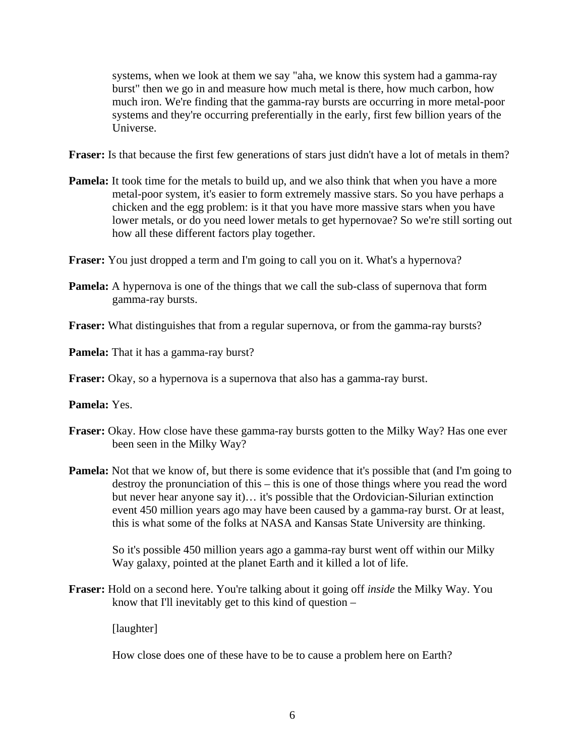systems, when we look at them we say "aha, we know this system had a gamma-ray burst" then we go in and measure how much metal is there, how much carbon, how much iron. We're finding that the gamma-ray bursts are occurring in more metal-poor systems and they're occurring preferentially in the early, first few billion years of the Universe.

**Fraser:** Is that because the first few generations of stars just didn't have a lot of metals in them?

- **Pamela:** It took time for the metals to build up, and we also think that when you have a more metal-poor system, it's easier to form extremely massive stars. So you have perhaps a chicken and the egg problem: is it that you have more massive stars when you have lower metals, or do you need lower metals to get hypernovae? So we're still sorting out how all these different factors play together.
- **Fraser:** You just dropped a term and I'm going to call you on it. What's a hypernova?
- **Pamela:** A hypernova is one of the things that we call the sub-class of supernova that form gamma-ray bursts.

**Fraser:** What distinguishes that from a regular supernova, or from the gamma-ray bursts?

**Pamela:** That it has a gamma-ray burst?

**Fraser:** Okay, so a hypernova is a supernova that also has a gamma-ray burst.

**Pamela:** Yes.

- **Fraser:** Okay. How close have these gamma-ray bursts gotten to the Milky Way? Has one ever been seen in the Milky Way?
- **Pamela:** Not that we know of, but there is some evidence that it's possible that (and I'm going to destroy the pronunciation of this – this is one of those things where you read the word but never hear anyone say it)… it's possible that the Ordovician-Silurian extinction event 450 million years ago may have been caused by a gamma-ray burst. Or at least, this is what some of the folks at NASA and Kansas State University are thinking.

 So it's possible 450 million years ago a gamma-ray burst went off within our Milky Way galaxy, pointed at the planet Earth and it killed a lot of life.

**Fraser:** Hold on a second here. You're talking about it going off *inside* the Milky Way. You know that I'll inevitably get to this kind of question –

[laughter]

How close does one of these have to be to cause a problem here on Earth?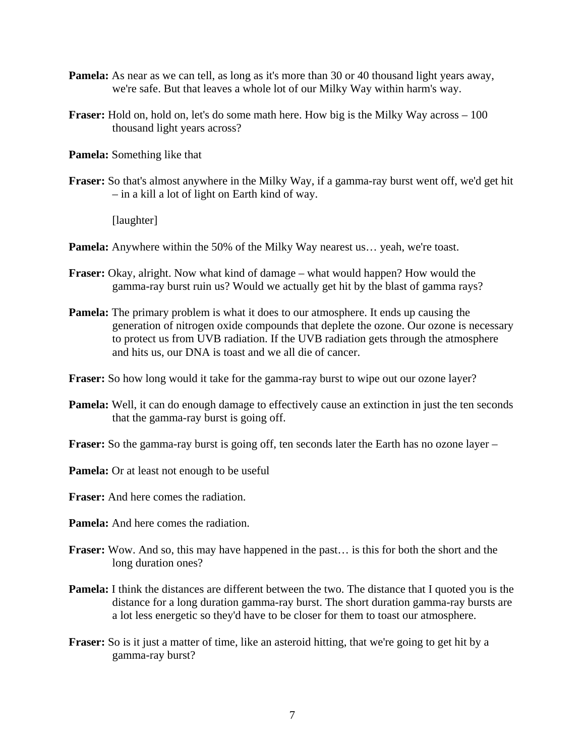- **Pamela:** As near as we can tell, as long as it's more than 30 or 40 thousand light years away, we're safe. But that leaves a whole lot of our Milky Way within harm's way.
- **Fraser:** Hold on, hold on, let's do some math here. How big is the Milky Way across 100 thousand light years across?

**Pamela:** Something like that

**Fraser:** So that's almost anywhere in the Milky Way, if a gamma-ray burst went off, we'd get hit – in a kill a lot of light on Earth kind of way.

[laughter]

**Pamela:** Anywhere within the 50% of the Milky Way nearest us... yeah, we're toast.

- **Fraser:** Okay, alright. Now what kind of damage what would happen? How would the gamma-ray burst ruin us? Would we actually get hit by the blast of gamma rays?
- **Pamela:** The primary problem is what it does to our atmosphere. It ends up causing the generation of nitrogen oxide compounds that deplete the ozone. Our ozone is necessary to protect us from UVB radiation. If the UVB radiation gets through the atmosphere and hits us, our DNA is toast and we all die of cancer.

**Fraser:** So how long would it take for the gamma-ray burst to wipe out our ozone layer?

**Pamela:** Well, it can do enough damage to effectively cause an extinction in just the ten seconds that the gamma-ray burst is going off.

**Fraser:** So the gamma-ray burst is going off, ten seconds later the Earth has no ozone layer –

**Pamela:** Or at least not enough to be useful

**Fraser:** And here comes the radiation.

**Pamela:** And here comes the radiation.

- **Fraser:** Wow. And so, this may have happened in the past… is this for both the short and the long duration ones?
- **Pamela:** I think the distances are different between the two. The distance that I quoted you is the distance for a long duration gamma-ray burst. The short duration gamma-ray bursts are a lot less energetic so they'd have to be closer for them to toast our atmosphere.
- **Fraser:** So is it just a matter of time, like an asteroid hitting, that we're going to get hit by a gamma-ray burst?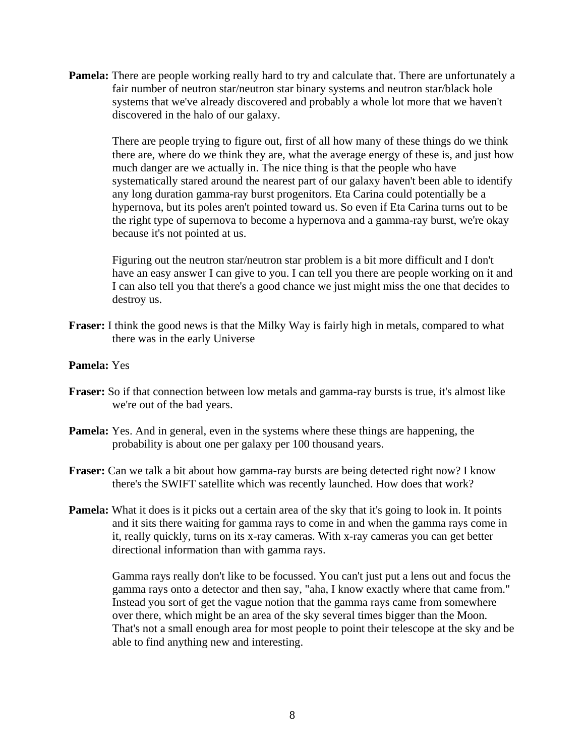**Pamela:** There are people working really hard to try and calculate that. There are unfortunately a fair number of neutron star/neutron star binary systems and neutron star/black hole systems that we've already discovered and probably a whole lot more that we haven't discovered in the halo of our galaxy.

 There are people trying to figure out, first of all how many of these things do we think there are, where do we think they are, what the average energy of these is, and just how much danger are we actually in. The nice thing is that the people who have systematically stared around the nearest part of our galaxy haven't been able to identify any long duration gamma-ray burst progenitors. Eta Carina could potentially be a hypernova, but its poles aren't pointed toward us. So even if Eta Carina turns out to be the right type of supernova to become a hypernova and a gamma-ray burst, we're okay because it's not pointed at us.

 Figuring out the neutron star/neutron star problem is a bit more difficult and I don't have an easy answer I can give to you. I can tell you there are people working on it and I can also tell you that there's a good chance we just might miss the one that decides to destroy us.

**Fraser:** I think the good news is that the Milky Way is fairly high in metals, compared to what there was in the early Universe

## **Pamela:** Yes

- **Fraser:** So if that connection between low metals and gamma-ray bursts is true, it's almost like we're out of the bad years.
- **Pamela:** Yes. And in general, even in the systems where these things are happening, the probability is about one per galaxy per 100 thousand years.
- **Fraser:** Can we talk a bit about how gamma-ray bursts are being detected right now? I know there's the SWIFT satellite which was recently launched. How does that work?
- **Pamela:** What it does is it picks out a certain area of the sky that it's going to look in. It points and it sits there waiting for gamma rays to come in and when the gamma rays come in it, really quickly, turns on its x-ray cameras. With x-ray cameras you can get better directional information than with gamma rays.

 Gamma rays really don't like to be focussed. You can't just put a lens out and focus the gamma rays onto a detector and then say, "aha, I know exactly where that came from." Instead you sort of get the vague notion that the gamma rays came from somewhere over there, which might be an area of the sky several times bigger than the Moon. That's not a small enough area for most people to point their telescope at the sky and be able to find anything new and interesting.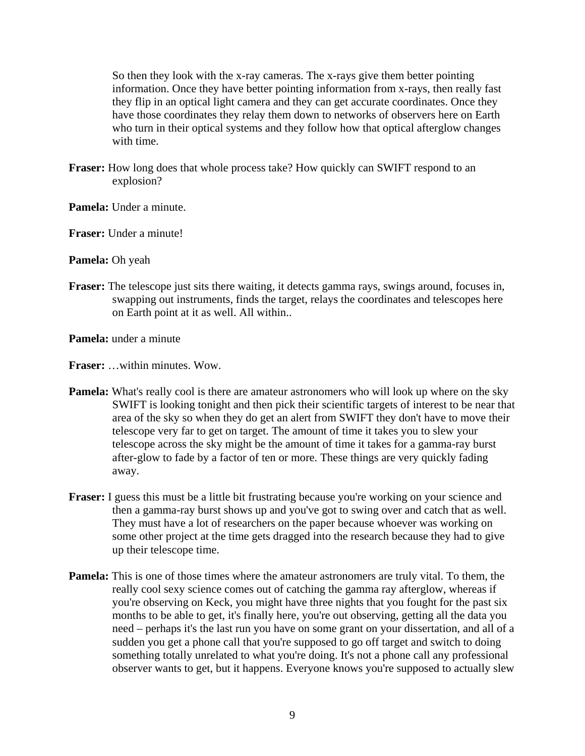So then they look with the x-ray cameras. The x-rays give them better pointing information. Once they have better pointing information from x-rays, then really fast they flip in an optical light camera and they can get accurate coordinates. Once they have those coordinates they relay them down to networks of observers here on Earth who turn in their optical systems and they follow how that optical afterglow changes with time.

- **Fraser:** How long does that whole process take? How quickly can SWIFT respond to an explosion?
- **Pamela:** Under a minute.

**Fraser:** Under a minute!

**Pamela:** Oh yeah

**Fraser:** The telescope just sits there waiting, it detects gamma rays, swings around, focuses in, swapping out instruments, finds the target, relays the coordinates and telescopes here on Earth point at it as well. All within..

**Pamela:** under a minute

**Fraser:** …within minutes. Wow.

- **Pamela:** What's really cool is there are amateur astronomers who will look up where on the sky SWIFT is looking tonight and then pick their scientific targets of interest to be near that area of the sky so when they do get an alert from SWIFT they don't have to move their telescope very far to get on target. The amount of time it takes you to slew your telescope across the sky might be the amount of time it takes for a gamma-ray burst after-glow to fade by a factor of ten or more. These things are very quickly fading away.
- **Fraser:** I guess this must be a little bit frustrating because you're working on your science and then a gamma-ray burst shows up and you've got to swing over and catch that as well. They must have a lot of researchers on the paper because whoever was working on some other project at the time gets dragged into the research because they had to give up their telescope time.
- **Pamela:** This is one of those times where the amateur astronomers are truly vital. To them, the really cool sexy science comes out of catching the gamma ray afterglow, whereas if you're observing on Keck, you might have three nights that you fought for the past six months to be able to get, it's finally here, you're out observing, getting all the data you need – perhaps it's the last run you have on some grant on your dissertation, and all of a sudden you get a phone call that you're supposed to go off target and switch to doing something totally unrelated to what you're doing. It's not a phone call any professional observer wants to get, but it happens. Everyone knows you're supposed to actually slew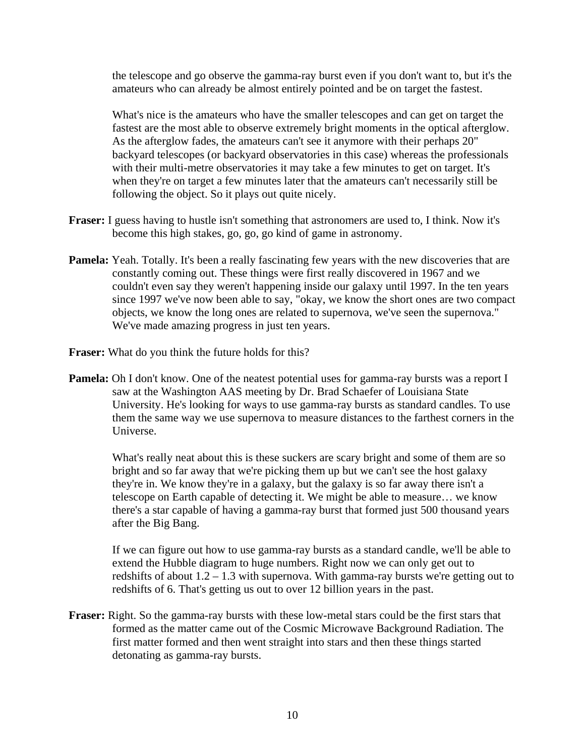the telescope and go observe the gamma-ray burst even if you don't want to, but it's the amateurs who can already be almost entirely pointed and be on target the fastest.

 What's nice is the amateurs who have the smaller telescopes and can get on target the fastest are the most able to observe extremely bright moments in the optical afterglow. As the afterglow fades, the amateurs can't see it anymore with their perhaps 20" backyard telescopes (or backyard observatories in this case) whereas the professionals with their multi-metre observatories it may take a few minutes to get on target. It's when they're on target a few minutes later that the amateurs can't necessarily still be following the object. So it plays out quite nicely.

- **Fraser:** I guess having to hustle isn't something that astronomers are used to, I think. Now it's become this high stakes, go, go, go kind of game in astronomy.
- **Pamela:** Yeah. Totally. It's been a really fascinating few years with the new discoveries that are constantly coming out. These things were first really discovered in 1967 and we couldn't even say they weren't happening inside our galaxy until 1997. In the ten years since 1997 we've now been able to say, "okay, we know the short ones are two compact objects, we know the long ones are related to supernova, we've seen the supernova." We've made amazing progress in just ten years.
- **Fraser:** What do you think the future holds for this?
- **Pamela:** Oh I don't know. One of the neatest potential uses for gamma-ray bursts was a report I saw at the Washington AAS meeting by Dr. Brad Schaefer of Louisiana State University. He's looking for ways to use gamma-ray bursts as standard candles. To use them the same way we use supernova to measure distances to the farthest corners in the Universe.

 What's really neat about this is these suckers are scary bright and some of them are so bright and so far away that we're picking them up but we can't see the host galaxy they're in. We know they're in a galaxy, but the galaxy is so far away there isn't a telescope on Earth capable of detecting it. We might be able to measure… we know there's a star capable of having a gamma-ray burst that formed just 500 thousand years after the Big Bang.

 If we can figure out how to use gamma-ray bursts as a standard candle, we'll be able to extend the Hubble diagram to huge numbers. Right now we can only get out to redshifts of about 1.2 – 1.3 with supernova. With gamma-ray bursts we're getting out to redshifts of 6. That's getting us out to over 12 billion years in the past.

**Fraser:** Right. So the gamma-ray bursts with these low-metal stars could be the first stars that formed as the matter came out of the Cosmic Microwave Background Radiation. The first matter formed and then went straight into stars and then these things started detonating as gamma-ray bursts.